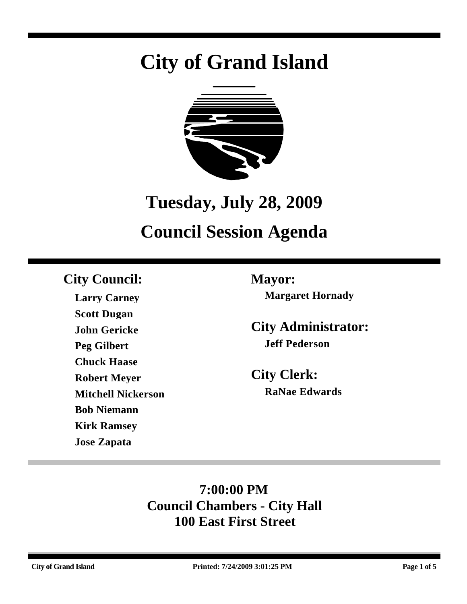# **City of Grand Island**



# **Tuesday, July 28, 2009**

# **Council Session Agenda**

### **City Council: Mayor:**

**Larry Carney Scott Dugan John Gericke Peg Gilbert Chuck Haase Robert Meyer Mitchell Nickerson Bob Niemann Kirk Ramsey Jose Zapata**

**Margaret Hornady**

**City Administrator: Jeff Pederson**

**City Clerk: RaNae Edwards**

### **7:00:00 PM Council Chambers - City Hall 100 East First Street**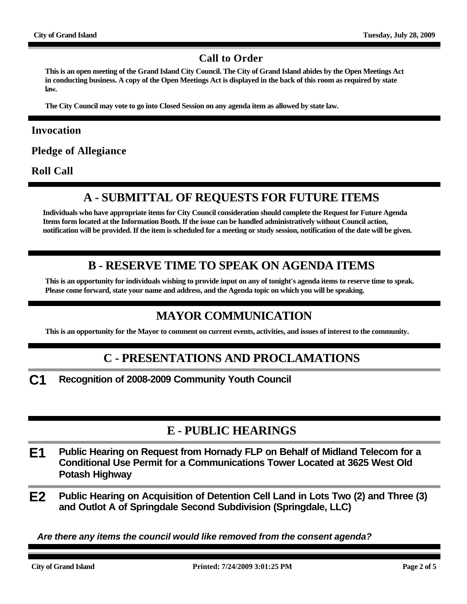#### **Call to Order**

**This is an open meeting of the Grand Island City Council. The City of Grand Island abides by the Open Meetings Act in conducting business. A copy of the Open Meetings Act is displayed in the back of this room as required by state law.**

**The City Council may vote to go into Closed Session on any agenda item as allowed by state law.**

#### **Invocation**

**Pledge of Allegiance**

**Roll Call**

#### **A - SUBMITTAL OF REQUESTS FOR FUTURE ITEMS**

**Individuals who have appropriate items for City Council consideration should complete the Request for Future Agenda Items form located at the Information Booth. If the issue can be handled administratively without Council action, notification will be provided. If the item is scheduled for a meeting or study session, notification of the date will be given.**

#### **B - RESERVE TIME TO SPEAK ON AGENDA ITEMS**

**This is an opportunity for individuals wishing to provide input on any of tonight's agenda items to reserve time to speak. Please come forward, state your name and address, and the Agenda topic on which you will be speaking.**

#### **MAYOR COMMUNICATION**

**This is an opportunity for the Mayor to comment on current events, activities, and issues of interest to the community.**

#### **C - PRESENTATIONS AND PROCLAMATIONS**

**C1 Recognition of 2008-2009 Community Youth Council**

#### **E - PUBLIC HEARINGS**

- **E1 Public Hearing on Request from Hornady FLP on Behalf of Midland Telecom for a Conditional Use Permit for a Communications Tower Located at 3625 West Old Potash Highway**
- **E2 Public Hearing on Acquisition of Detention Cell Land in Lots Two (2) and Three (3) and Outlot A of Springdale Second Subdivision (Springdale, LLC)**

*Are there any items the council would like removed from the consent agenda?*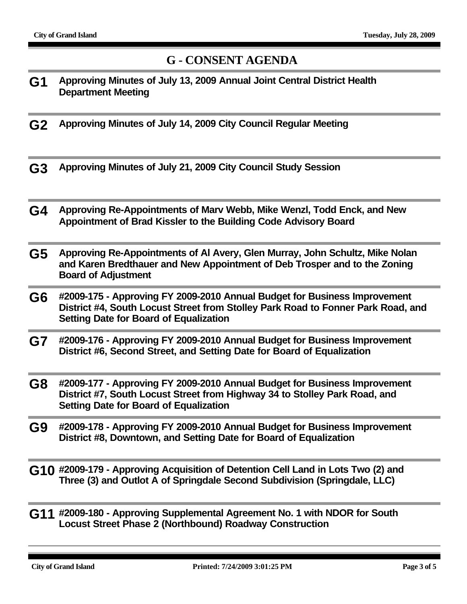#### **G - CONSENT AGENDA**

- **G1 Approving Minutes of July 13, 2009 Annual Joint Central District Health Department Meeting**
- **G2 Approving Minutes of July 14, 2009 City Council Regular Meeting**
- **G3 Approving Minutes of July 21, 2009 City Council Study Session**
- **G4 Approving Re-Appointments of Marv Webb, Mike Wenzl, Todd Enck, and New Appointment of Brad Kissler to the Building Code Advisory Board**
- **G5 Approving Re-Appointments of Al Avery, Glen Murray, John Schultz, Mike Nolan and Karen Bredthauer and New Appointment of Deb Trosper and to the Zoning Board of Adjustment**
- **G6 #2009-175 Approving FY 2009-2010 Annual Budget for Business Improvement District #4, South Locust Street from Stolley Park Road to Fonner Park Road, and Setting Date for Board of Equalization**
- **G7 #2009-176 Approving FY 2009-2010 Annual Budget for Business Improvement District #6, Second Street, and Setting Date for Board of Equalization**
- **G8 #2009-177 Approving FY 2009-2010 Annual Budget for Business Improvement District #7, South Locust Street from Highway 34 to Stolley Park Road, and Setting Date for Board of Equalization**
- **G9 #2009-178 Approving FY 2009-2010 Annual Budget for Business Improvement District #8, Downtown, and Setting Date for Board of Equalization**
- **G10 #2009-179 Approving Acquisition of Detention Cell Land in Lots Two (2) and Three (3) and Outlot A of Springdale Second Subdivision (Springdale, LLC)**
- **G11 #2009-180 Approving Supplemental Agreement No. 1 with NDOR for South Locust Street Phase 2 (Northbound) Roadway Construction**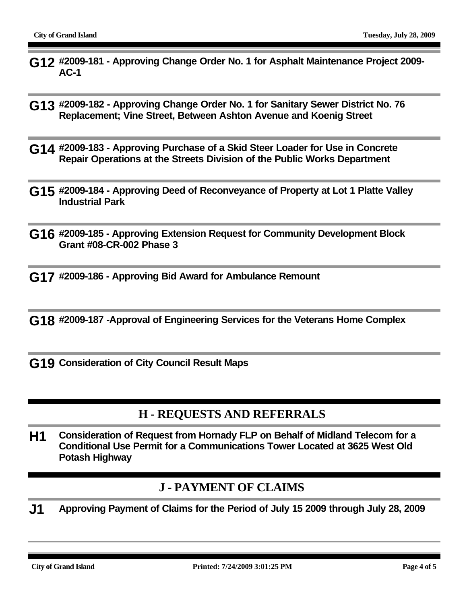- **G12 #2009-181 Approving Change Order No. 1 for Asphalt Maintenance Project 2009- AC-1**
- **G13 #2009-182 Approving Change Order No. 1 for Sanitary Sewer District No. 76 Replacement; Vine Street, Between Ashton Avenue and Koenig Street**
- **G14 #2009-183 Approving Purchase of a Skid Steer Loader for Use in Concrete Repair Operations at the Streets Division of the Public Works Department**
- **G15 #2009-184 Approving Deed of Reconveyance of Property at Lot 1 Platte Valley Industrial Park**
- **G16 #2009-185 Approving Extension Request for Community Development Block Grant #08-CR-002 Phase 3**
- **G17 #2009-186 Approving Bid Award for Ambulance Remount**
- **G18 #2009-187 -Approval of Engineering Services for the Veterans Home Complex**
- **G19 Consideration of City Council Result Maps**

#### **H - REQUESTS AND REFERRALS**

**H1 Consideration of Request from Hornady FLP on Behalf of Midland Telecom for a Conditional Use Permit for a Communications Tower Located at 3625 West Old Potash Highway**

#### **J - PAYMENT OF CLAIMS**

**J1 Approving Payment of Claims for the Period of July 15 2009 through July 28, 2009**